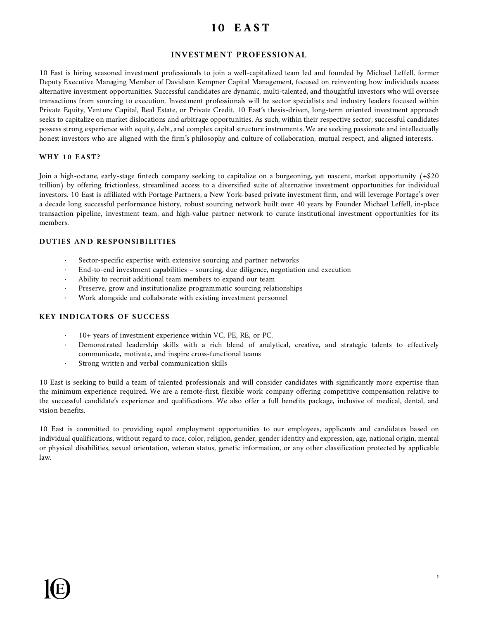# 10 EAST

# **INVESTMENT PROFESSIONAL**

10 East is hiring seasoned investment professionals to join a well-capitalized team led and founded by Michael Leffell, former Deputy Executive Managing Member of Davidson Kempner Capital Management, focused on reinventing how individuals access alternative investment opportunities. Successful candidates are dynamic, multi-talented, and thoughtful investors who will oversee transactions from sourcing to execution. Investment professionals will be sector specialists and industry leaders focused within Private Equity, Venture Capital, Real Estate, or Private Credit. 10 East's thesis-driven, long-term oriented investment approach seeks to capitalize on market dislocations and arbitrage opportunities. As such, within their respective sector, successful candidates possess strong experience with equity, debt, and complex capital structure instruments. We are seeking passionate and intellectually honest investors who are aligned with the firm's philosophy and culture of collaboration, mutual respect, and aligned interests.

## **WHY 10 EAST?**

Join a high-octane, early-stage fintech company seeking to capitalize on a burgeoning, yet nascent, market opportunity (+\$20 trillion) by offering frictionless, streamlined access to a diversified suite of alternative investment opportunities for individual investors. 10 East is affiliated with Portage Partners, a New York-based private investment firm, and will leverage Portage's over a decade long successful performance history, robust sourcing network built over 40 years by Founder Michael Leffell, in-place transaction pipeline, investment team, and high-value partner network to curate institutional investment opportunities for its members.

## **DUTIES AND RESPONSIBILITIES**

- Sector-specific expertise with extensive sourcing and partner networks
- ⋅ End-to-end investment capabilities sourcing, due diligence, negotiation and execution
- Ability to recruit additional team members to expand our team
- Preserve, grow and institutionalize programmatic sourcing relationships
- Work alongside and collaborate with existing investment personnel

## **KEY INDICATORS OF SUCCESS**

- 10+ years of investment experience within VC, PE, RE, or PC.
- Demonstrated leadership skills with a rich blend of analytical, creative, and strategic talents to effectively communicate, motivate, and inspire cross-functional teams
- Strong written and verbal communication skills

10 East is seeking to build a team of talented professionals and will consider candidates with significantly more expertise than the minimum experience required. We are a remote-first, flexible work company offering competitive compensation relative to the successful candidate's experience and qualifications. We also offer a full benefits package, inclusive of medical, dental, and vision benefits.

10 East is committed to providing equal employment opportunities to our employees, applicants and candidates based on individual qualifications, without regard to race, color, religion, gender, gender identity and expression, age, national origin, mental or physical disabilities, sexual orientation, veteran status, genetic information, or any other classification protected by applicable law.

**1**